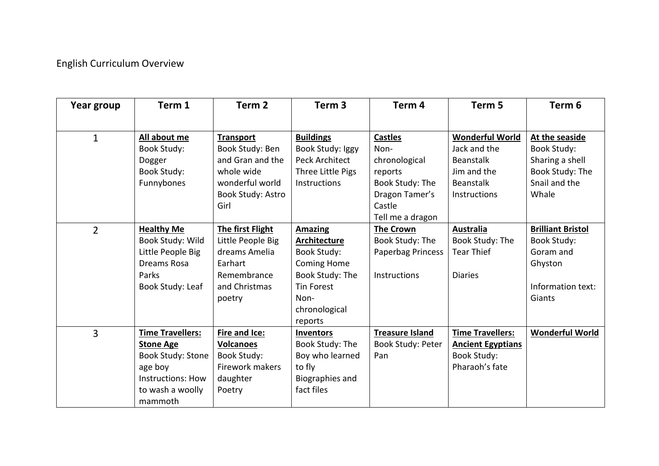## English Curriculum Overview

| Year group     | Term 1                   | Term <sub>2</sub> | Term <sub>3</sub>   | Term 4                 | Term <sub>5</sub>        | Term <sub>6</sub>        |
|----------------|--------------------------|-------------------|---------------------|------------------------|--------------------------|--------------------------|
|                |                          |                   |                     |                        |                          |                          |
| $\mathbf{1}$   | All about me             | <b>Transport</b>  | <b>Buildings</b>    | <b>Castles</b>         | <b>Wonderful World</b>   | At the seaside           |
|                | <b>Book Study:</b>       | Book Study: Ben   | Book Study: Iggy    | Non-                   | Jack and the             | <b>Book Study:</b>       |
|                | Dogger                   | and Gran and the  | Peck Architect      | chronological          | <b>Beanstalk</b>         | Sharing a shell          |
|                | <b>Book Study:</b>       | whole wide        | Three Little Pigs   | reports                | Jim and the              | Book Study: The          |
|                | Funnybones               | wonderful world   | <b>Instructions</b> | Book Study: The        | Beanstalk                | Snail and the            |
|                |                          | Book Study: Astro |                     | Dragon Tamer's         | Instructions             | Whale                    |
|                |                          | Girl              |                     | Castle                 |                          |                          |
|                |                          |                   |                     | Tell me a dragon       |                          |                          |
| $\overline{2}$ | <b>Healthy Me</b>        | The first Flight  | <b>Amazing</b>      | <b>The Crown</b>       | <b>Australia</b>         | <b>Brilliant Bristol</b> |
|                | Book Study: Wild         | Little People Big | Architecture        | Book Study: The        | Book Study: The          | <b>Book Study:</b>       |
|                | Little People Big        | dreams Amelia     | <b>Book Study:</b>  | Paperbag Princess      | <b>Tear Thief</b>        | Goram and                |
|                | Dreams Rosa              | Earhart           | Coming Home         |                        |                          | Ghyston                  |
|                | Parks                    | Remembrance       | Book Study: The     | Instructions           | <b>Diaries</b>           |                          |
|                | Book Study: Leaf         | and Christmas     | <b>Tin Forest</b>   |                        |                          | Information text:        |
|                |                          | poetry            | Non-                |                        |                          | Giants                   |
|                |                          |                   | chronological       |                        |                          |                          |
|                |                          |                   | reports             |                        |                          |                          |
| 3              | <b>Time Travellers:</b>  | Fire and Ice:     | Inventors           | <b>Treasure Island</b> | <b>Time Travellers:</b>  | <b>Wonderful World</b>   |
|                | <b>Stone Age</b>         | <b>Volcanoes</b>  | Book Study: The     | Book Study: Peter      | <b>Ancient Egyptians</b> |                          |
|                | Book Study: Stone        | Book Study:       | Boy who learned     | Pan                    | Book Study:              |                          |
|                | age boy                  | Firework makers   | to fly              |                        | Pharaoh's fate           |                          |
|                | <b>Instructions: How</b> | daughter          | Biographies and     |                        |                          |                          |
|                | to wash a woolly         | Poetry            | fact files          |                        |                          |                          |
|                | mammoth                  |                   |                     |                        |                          |                          |